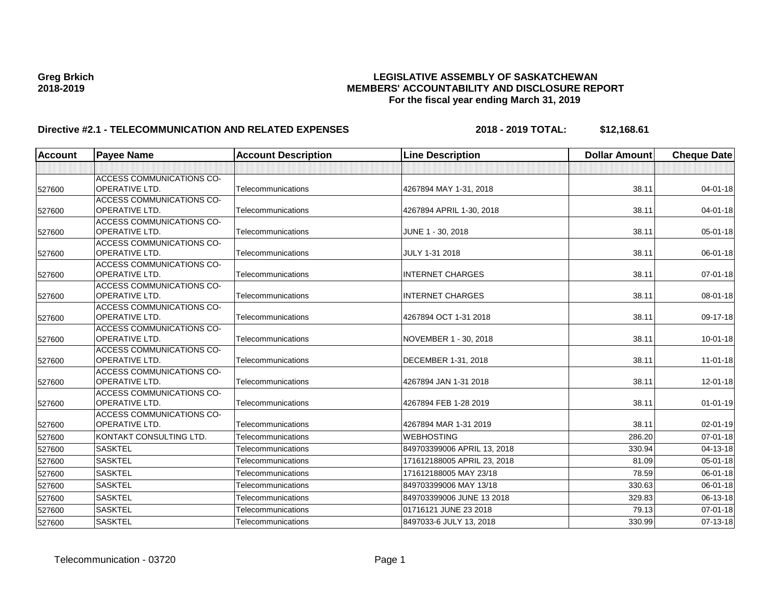| <b>Account</b> | <b>Payee Name</b>                                         | <b>Account Description</b> | <b>Line Description</b>     | <b>Dollar Amount</b> | <b>Cheque Date</b> |
|----------------|-----------------------------------------------------------|----------------------------|-----------------------------|----------------------|--------------------|
|                |                                                           |                            |                             |                      |                    |
| 527600         | <b>ACCESS COMMUNICATIONS CO-</b><br><b>OPERATIVE LTD.</b> | Telecommunications         | 4267894 MAY 1-31, 2018      | 38.11                | 04-01-18           |
|                | <b>ACCESS COMMUNICATIONS CO-</b>                          |                            |                             |                      |                    |
| 527600         | <b>OPERATIVE LTD.</b>                                     | Telecommunications         | 4267894 APRIL 1-30, 2018    | 38.11                | $04 - 01 - 18$     |
| 527600         | <b>ACCESS COMMUNICATIONS CO-</b><br><b>OPERATIVE LTD.</b> | Telecommunications         | JUNE 1 - 30, 2018           | 38.11                | $05 - 01 - 18$     |
| 527600         | <b>ACCESS COMMUNICATIONS CO-</b><br><b>OPERATIVE LTD.</b> | Telecommunications         | JULY 1-31 2018              | 38.11                | 06-01-18           |
| 527600         | <b>ACCESS COMMUNICATIONS CO-</b><br><b>OPERATIVE LTD.</b> | Telecommunications         | <b>INTERNET CHARGES</b>     | 38.11                | $07 - 01 - 18$     |
| 527600         | <b>ACCESS COMMUNICATIONS CO-</b><br><b>OPERATIVE LTD.</b> | Telecommunications         | <b>INTERNET CHARGES</b>     | 38.11                | 08-01-18           |
| 527600         | <b>ACCESS COMMUNICATIONS CO-</b><br><b>OPERATIVE LTD.</b> | Telecommunications         | 4267894 OCT 1-31 2018       | 38.11                | 09-17-18           |
| 527600         | <b>ACCESS COMMUNICATIONS CO-</b><br><b>OPERATIVE LTD.</b> | Telecommunications         | NOVEMBER 1 - 30, 2018       | 38.11                | $10 - 01 - 18$     |
| 527600         | <b>ACCESS COMMUNICATIONS CO-</b><br><b>OPERATIVE LTD.</b> | Telecommunications         | DECEMBER 1-31, 2018         | 38.11                | $11-01-18$         |
| 527600         | <b>ACCESS COMMUNICATIONS CO-</b><br><b>OPERATIVE LTD.</b> | Telecommunications         | 4267894 JAN 1-31 2018       | 38.11                | 12-01-18           |
| 527600         | <b>ACCESS COMMUNICATIONS CO-</b><br><b>OPERATIVE LTD.</b> | Telecommunications         | 4267894 FEB 1-28 2019       | 38.11                | $01 - 01 - 19$     |
| 527600         | <b>ACCESS COMMUNICATIONS CO-</b><br><b>OPERATIVE LTD.</b> | Telecommunications         | 4267894 MAR 1-31 2019       | 38.11                | 02-01-19           |
| 527600         | KONTAKT CONSULTING LTD.                                   | Telecommunications         | <b>WEBHOSTING</b>           | 286.20               | $07 - 01 - 18$     |
| 527600         | <b>SASKTEL</b>                                            | Telecommunications         | 849703399006 APRIL 13, 2018 | 330.94               | 04-13-18           |
| 527600         | <b>SASKTEL</b>                                            | Telecommunications         | 171612188005 APRIL 23, 2018 | 81.09                | 05-01-18           |
| 527600         | <b>SASKTEL</b>                                            | Telecommunications         | 171612188005 MAY 23/18      | 78.59                | 06-01-18           |
| 527600         | <b>SASKTEL</b>                                            | Telecommunications         | 849703399006 MAY 13/18      | 330.63               | 06-01-18           |
| 527600         | <b>SASKTEL</b>                                            | Telecommunications         | 849703399006 JUNE 13 2018   | 329.83               | 06-13-18           |
| 527600         | <b>SASKTEL</b>                                            | Telecommunications         | 01716121 JUNE 23 2018       | 79.13                | 07-01-18           |
| 527600         | <b>SASKTEL</b>                                            | Telecommunications         | 8497033-6 JULY 13, 2018     | 330.99               | 07-13-18           |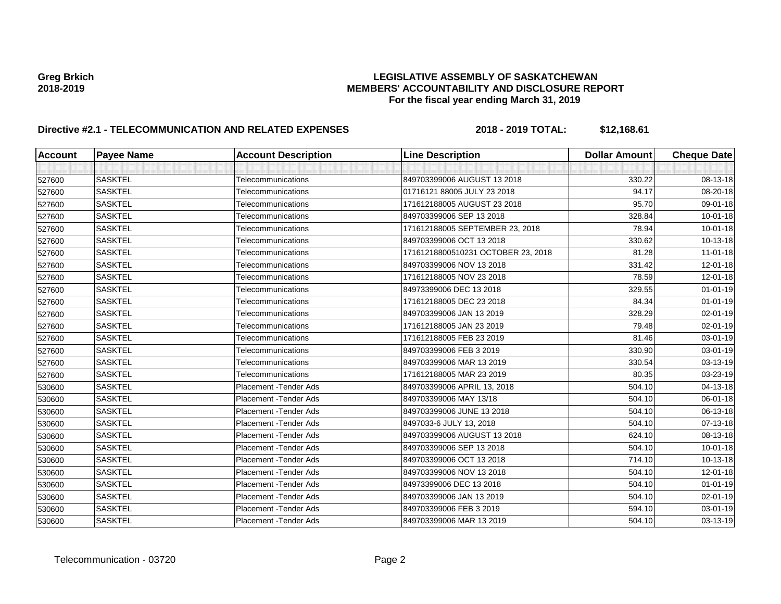| <b>Account</b> | <b>Payee Name</b> | <b>Account Description</b> | <b>Line Description</b>            | <b>Dollar Amount</b> | <b>Cheque Date</b> |
|----------------|-------------------|----------------------------|------------------------------------|----------------------|--------------------|
|                |                   |                            |                                    |                      |                    |
| 527600         | <b>SASKTEL</b>    | Telecommunications         | 849703399006 AUGUST 13 2018        | 330.22               | 08-13-18           |
| 527600         | <b>SASKTEL</b>    | Telecommunications         | 01716121 88005 JULY 23 2018        | 94.17                | 08-20-18           |
| 527600         | <b>SASKTEL</b>    | Telecommunications         | 171612188005 AUGUST 23 2018        | 95.70                | 09-01-18           |
| 527600         | <b>SASKTEL</b>    | Telecommunications         | 849703399006 SEP 13 2018           | 328.84               | $10 - 01 - 18$     |
| 527600         | <b>SASKTEL</b>    | Telecommunications         | 171612188005 SEPTEMBER 23, 2018    | 78.94                | $10 - 01 - 18$     |
| 527600         | <b>SASKTEL</b>    | Telecommunications         | 849703399006 OCT 13 2018           | 330.62               | 10-13-18           |
| 527600         | <b>SASKTEL</b>    | Telecommunications         | 17161218800510231 OCTOBER 23, 2018 | 81.28                | $11-01-18$         |
| 527600         | <b>SASKTEL</b>    | Telecommunications         | 849703399006 NOV 13 2018           | 331.42               | 12-01-18           |
| 527600         | <b>SASKTEL</b>    | Telecommunications         | 171612188005 NOV 23 2018           | 78.59                | 12-01-18           |
| 527600         | <b>SASKTEL</b>    | Telecommunications         | 84973399006 DEC 13 2018            | 329.55               | $01 - 01 - 19$     |
| 527600         | <b>SASKTEL</b>    | Telecommunications         | 171612188005 DEC 23 2018           | 84.34                | $01 - 01 - 19$     |
| 527600         | <b>SASKTEL</b>    | Telecommunications         | 849703399006 JAN 13 2019           | 328.29               | $02 - 01 - 19$     |
| 527600         | <b>SASKTEL</b>    | Telecommunications         | 171612188005 JAN 23 2019           | 79.48                | 02-01-19           |
| 527600         | <b>SASKTEL</b>    | Telecommunications         | 171612188005 FEB 23 2019           | 81.46                | 03-01-19           |
| 527600         | <b>SASKTEL</b>    | Telecommunications         | 849703399006 FEB 3 2019            | 330.90               | 03-01-19           |
| 527600         | <b>SASKTEL</b>    | Telecommunications         | 849703399006 MAR 13 2019           | 330.54               | 03-13-19           |
| 527600         | <b>SASKTEL</b>    | Telecommunications         | 171612188005 MAR 23 2019           | 80.35                | 03-23-19           |
| 530600         | <b>SASKTEL</b>    | Placement - Tender Ads     | 849703399006 APRIL 13, 2018        | 504.10               | 04-13-18           |
| 530600         | <b>SASKTEL</b>    | Placement - Tender Ads     | 849703399006 MAY 13/18             | 504.10               | 06-01-18           |
| 530600         | <b>SASKTEL</b>    | Placement - Tender Ads     | 849703399006 JUNE 13 2018          | 504.10               | 06-13-18           |
| 530600         | <b>SASKTEL</b>    | Placement - Tender Ads     | 8497033-6 JULY 13, 2018            | 504.10               | 07-13-18           |
| 530600         | <b>SASKTEL</b>    | Placement - Tender Ads     | 849703399006 AUGUST 13 2018        | 624.10               | 08-13-18           |
| 530600         | <b>SASKTEL</b>    | Placement - Tender Ads     | 849703399006 SEP 13 2018           | 504.10               | $10 - 01 - 18$     |
| 530600         | <b>SASKTEL</b>    | Placement - Tender Ads     | 849703399006 OCT 13 2018           | 714.10               | 10-13-18           |
| 530600         | <b>SASKTEL</b>    | Placement - Tender Ads     | 849703399006 NOV 13 2018           | 504.10               | 12-01-18           |
| 530600         | <b>SASKTEL</b>    | Placement - Tender Ads     | 84973399006 DEC 13 2018            | 504.10               | $01 - 01 - 19$     |
| 530600         | <b>SASKTEL</b>    | Placement - Tender Ads     | 849703399006 JAN 13 2019           | 504.10               | $02 - 01 - 19$     |
| 530600         | <b>SASKTEL</b>    | Placement - Tender Ads     | 849703399006 FEB 3 2019            | 594.10               | 03-01-19           |
| 530600         | <b>SASKTEL</b>    | Placement - Tender Ads     | 849703399006 MAR 13 2019           | 504.10               | 03-13-19           |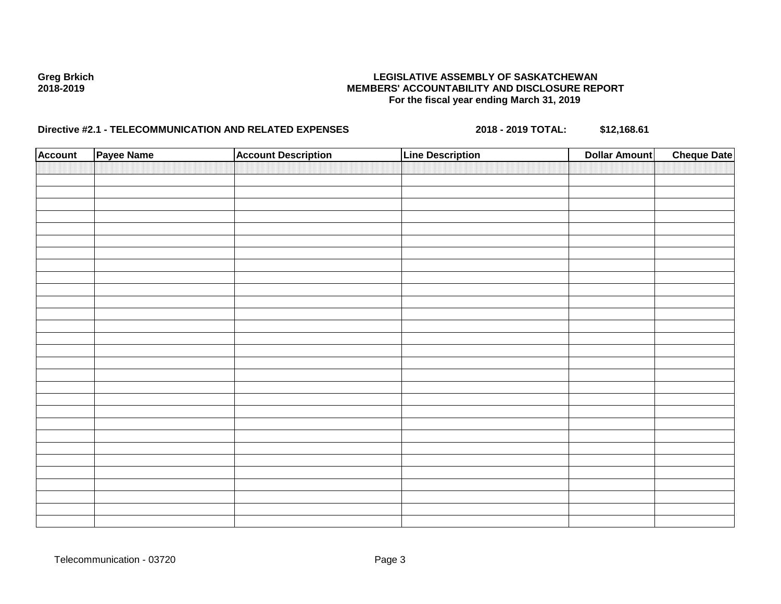| <b>Account</b> | Payee Name | <b>Account Description</b> | <b>Line Description</b> | <b>Dollar Amount</b> | <b>Cheque Date</b> |
|----------------|------------|----------------------------|-------------------------|----------------------|--------------------|
|                |            |                            |                         |                      |                    |
|                |            |                            |                         |                      |                    |
|                |            |                            |                         |                      |                    |
|                |            |                            |                         |                      |                    |
|                |            |                            |                         |                      |                    |
|                |            |                            |                         |                      |                    |
|                |            |                            |                         |                      |                    |
|                |            |                            |                         |                      |                    |
|                |            |                            |                         |                      |                    |
|                |            |                            |                         |                      |                    |
|                |            |                            |                         |                      |                    |
|                |            |                            |                         |                      |                    |
|                |            |                            |                         |                      |                    |
|                |            |                            |                         |                      |                    |
|                |            |                            |                         |                      |                    |
|                |            |                            |                         |                      |                    |
|                |            |                            |                         |                      |                    |
|                |            |                            |                         |                      |                    |
|                |            |                            |                         |                      |                    |
|                |            |                            |                         |                      |                    |
|                |            |                            |                         |                      |                    |
|                |            |                            |                         |                      |                    |
|                |            |                            |                         |                      |                    |
|                |            |                            |                         |                      |                    |
|                |            |                            |                         |                      |                    |
|                |            |                            |                         |                      |                    |
|                |            |                            |                         |                      |                    |
|                |            |                            |                         |                      |                    |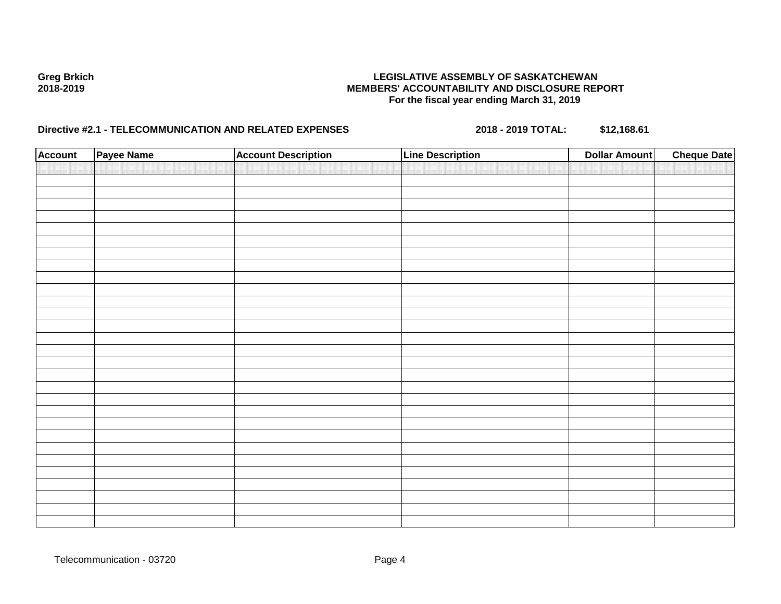| <b>Account</b> | Payee Name | <b>Account Description</b> | <b>Line Description</b> | <b>Dollar Amount</b> | <b>Cheque Date</b> |
|----------------|------------|----------------------------|-------------------------|----------------------|--------------------|
|                |            |                            |                         |                      |                    |
|                |            |                            |                         |                      |                    |
|                |            |                            |                         |                      |                    |
|                |            |                            |                         |                      |                    |
|                |            |                            |                         |                      |                    |
|                |            |                            |                         |                      |                    |
|                |            |                            |                         |                      |                    |
|                |            |                            |                         |                      |                    |
|                |            |                            |                         |                      |                    |
|                |            |                            |                         |                      |                    |
|                |            |                            |                         |                      |                    |
|                |            |                            |                         |                      |                    |
|                |            |                            |                         |                      |                    |
|                |            |                            |                         |                      |                    |
|                |            |                            |                         |                      |                    |
|                |            |                            |                         |                      |                    |
|                |            |                            |                         |                      |                    |
|                |            |                            |                         |                      |                    |
|                |            |                            |                         |                      |                    |
|                |            |                            |                         |                      |                    |
|                |            |                            |                         |                      |                    |
|                |            |                            |                         |                      |                    |
|                |            |                            |                         |                      |                    |
|                |            |                            |                         |                      |                    |
|                |            |                            |                         |                      |                    |
|                |            |                            |                         |                      |                    |
|                |            |                            |                         |                      |                    |
|                |            |                            |                         |                      |                    |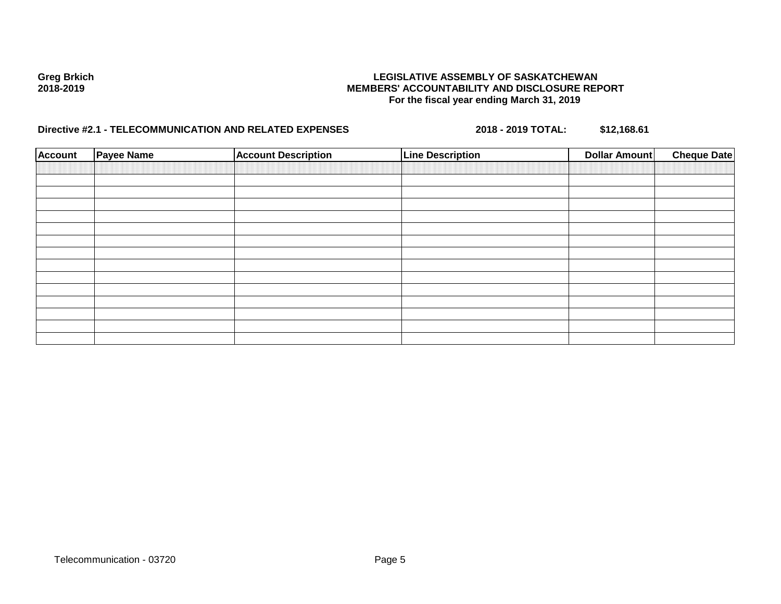| <b>Account</b> | <b>Payee Name</b> | <b>Account Description</b> | <b>Line Description</b> | <b>Dollar Amount</b> | <b>Cheque Date</b> |
|----------------|-------------------|----------------------------|-------------------------|----------------------|--------------------|
|                |                   |                            |                         |                      |                    |
|                |                   |                            |                         |                      |                    |
|                |                   |                            |                         |                      |                    |
|                |                   |                            |                         |                      |                    |
|                |                   |                            |                         |                      |                    |
|                |                   |                            |                         |                      |                    |
|                |                   |                            |                         |                      |                    |
|                |                   |                            |                         |                      |                    |
|                |                   |                            |                         |                      |                    |
|                |                   |                            |                         |                      |                    |
|                |                   |                            |                         |                      |                    |
|                |                   |                            |                         |                      |                    |
|                |                   |                            |                         |                      |                    |
|                |                   |                            |                         |                      |                    |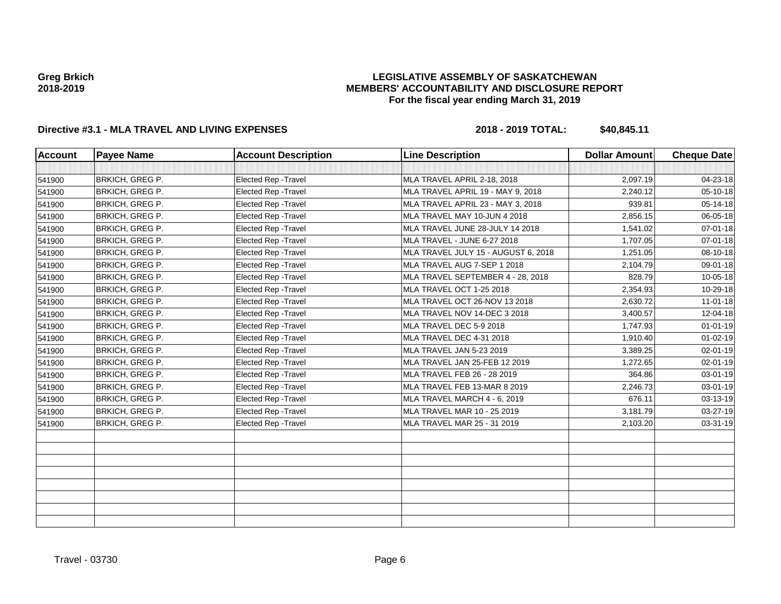### **LEGISLATIVE ASSEMBLY OF SASKATCHEWAN MEMBERS' ACCOUNTABILITY AND DISCLOSURE REPORT For the fiscal year ending March 31, 2019**

| <b>Account</b> | <b>Payee Name</b>      | <b>Account Description</b>  | <b>Line Description</b>             | <b>Dollar Amount</b> | <b>Cheque Date</b> |
|----------------|------------------------|-----------------------------|-------------------------------------|----------------------|--------------------|
|                |                        |                             |                                     |                      |                    |
| 541900         | BRKICH, GREG P.        | Elected Rep - Travel        | MLA TRAVEL APRIL 2-18, 2018         | 2,097.19             | 04-23-18           |
| 541900         | <b>BRKICH, GREG P.</b> | <b>Elected Rep - Travel</b> | MLA TRAVEL APRIL 19 - MAY 9, 2018   | 2,240.12             | 05-10-18           |
| 541900         | <b>BRKICH, GREG P.</b> | <b>Elected Rep - Travel</b> | MLA TRAVEL APRIL 23 - MAY 3, 2018   | 939.81               | $05 - 14 - 18$     |
| 541900         | <b>BRKICH, GREG P.</b> | Elected Rep - Travel        | MLA TRAVEL MAY 10-JUN 4 2018        | 2,856.15             | 06-05-18           |
| 541900         | <b>BRKICH, GREG P.</b> | Elected Rep - Travel        | MLA TRAVEL JUNE 28-JULY 14 2018     | 1,541.02             | $07 - 01 - 18$     |
| 541900         | BRKICH, GREG P.        | Elected Rep - Travel        | MLA TRAVEL - JUNE 6-27 2018         | 1,707.05             | $07 - 01 - 18$     |
| 541900         | <b>BRKICH, GREG P.</b> | <b>Elected Rep - Travel</b> | MLA TRAVEL JULY 15 - AUGUST 6, 2018 | 1,251.05             | 08-10-18           |
| 541900         | <b>BRKICH, GREG P.</b> | Elected Rep - Travel        | MLA TRAVEL AUG 7-SEP 1 2018         | 2,104.79             | 09-01-18           |
| 541900         | BRKICH, GREG P.        | Elected Rep - Travel        | MLA TRAVEL SEPTEMBER 4 - 28, 2018   | 828.79               | $10 - 05 - 18$     |
| 541900         | <b>BRKICH, GREG P.</b> | Elected Rep - Travel        | MLA TRAVEL OCT 1-25 2018            | 2,354.93             | 10-29-18           |
| 541900         | <b>BRKICH, GREG P.</b> | Elected Rep - Travel        | MLA TRAVEL OCT 26-NOV 13 2018       | 2,630.72             | $11-01-18$         |
| 541900         | <b>BRKICH, GREG P.</b> | Elected Rep - Travel        | MLA TRAVEL NOV 14-DEC 3 2018        | 3,400.57             | 12-04-18           |
| 541900         | <b>BRKICH, GREG P.</b> | <b>Elected Rep - Travel</b> | MLA TRAVEL DEC 5-9 2018             | 1,747.93             | $01 - 01 - 19$     |
| 541900         | <b>BRKICH, GREG P.</b> | <b>Elected Rep - Travel</b> | MLA TRAVEL DEC 4-31 2018            | 1,910.40             | $01 - 02 - 19$     |
| 541900         | <b>BRKICH, GREG P.</b> | Elected Rep - Travel        | MLA TRAVEL JAN 5-23 2019            | 3,389.25             | $02 - 01 - 19$     |
| 541900         | <b>BRKICH, GREG P.</b> | Elected Rep - Travel        | MLA TRAVEL JAN 25-FEB 12 2019       | 1,272.65             | $02 - 01 - 19$     |
| 541900         | BRKICH, GREG P.        | Elected Rep - Travel        | MLA TRAVEL FEB 26 - 28 2019         | 364.86               | 03-01-19           |
| 541900         | <b>BRKICH, GREG P.</b> | Elected Rep - Travel        | MLA TRAVEL FEB 13-MAR 8 2019        | 2,246.73             | 03-01-19           |
| 541900         | <b>BRKICH, GREG P.</b> | <b>Elected Rep - Travel</b> | MLA TRAVEL MARCH 4 - 6, 2019        | 676.11               | 03-13-19           |
| 541900         | <b>BRKICH, GREG P.</b> | Elected Rep - Travel        | MLA TRAVEL MAR 10 - 25 2019         | 3,181.79             | 03-27-19           |
| 541900         | <b>BRKICH, GREG P.</b> | Elected Rep - Travel        | MLA TRAVEL MAR 25 - 31 2019         | 2,103.20             | 03-31-19           |
|                |                        |                             |                                     |                      |                    |
|                |                        |                             |                                     |                      |                    |
|                |                        |                             |                                     |                      |                    |
|                |                        |                             |                                     |                      |                    |
|                |                        |                             |                                     |                      |                    |
|                |                        |                             |                                     |                      |                    |
|                |                        |                             |                                     |                      |                    |
|                |                        |                             |                                     |                      |                    |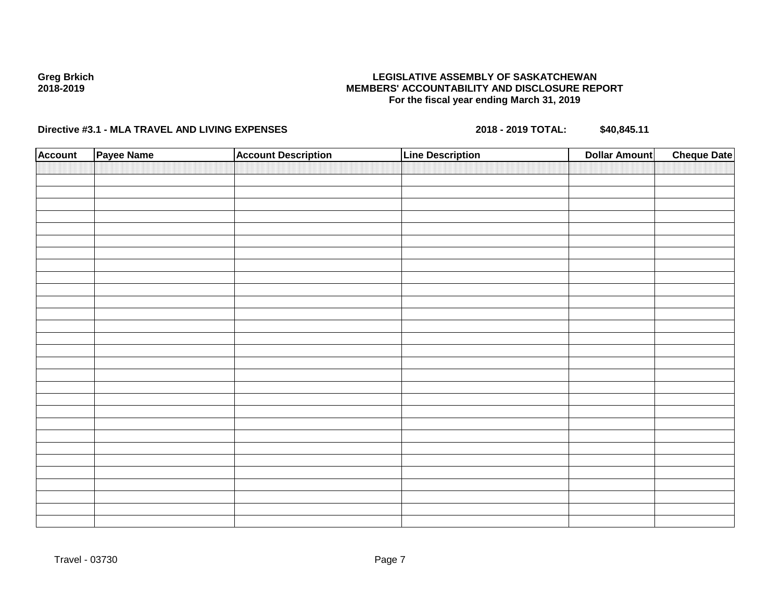### **LEGISLATIVE ASSEMBLY OF SASKATCHEWAN MEMBERS' ACCOUNTABILITY AND DISCLOSURE REPORT For the fiscal year ending March 31, 2019**

| <b>Account</b> | Payee Name | <b>Account Description</b> | <b>Line Description</b> | <b>Dollar Amount</b> | <b>Cheque Date</b> |
|----------------|------------|----------------------------|-------------------------|----------------------|--------------------|
|                |            |                            |                         |                      |                    |
|                |            |                            |                         |                      |                    |
|                |            |                            |                         |                      |                    |
|                |            |                            |                         |                      |                    |
|                |            |                            |                         |                      |                    |
|                |            |                            |                         |                      |                    |
|                |            |                            |                         |                      |                    |
|                |            |                            |                         |                      |                    |
|                |            |                            |                         |                      |                    |
|                |            |                            |                         |                      |                    |
|                |            |                            |                         |                      |                    |
|                |            |                            |                         |                      |                    |
|                |            |                            |                         |                      |                    |
|                |            |                            |                         |                      |                    |
|                |            |                            |                         |                      |                    |
|                |            |                            |                         |                      |                    |
|                |            |                            |                         |                      |                    |
|                |            |                            |                         |                      |                    |
|                |            |                            |                         |                      |                    |
|                |            |                            |                         |                      |                    |
|                |            |                            |                         |                      |                    |
|                |            |                            |                         |                      |                    |
|                |            |                            |                         |                      |                    |
|                |            |                            |                         |                      |                    |
|                |            |                            |                         |                      |                    |
|                |            |                            |                         |                      |                    |
|                |            |                            |                         |                      |                    |
|                |            |                            |                         |                      |                    |
|                |            |                            |                         |                      |                    |
|                |            |                            |                         |                      |                    |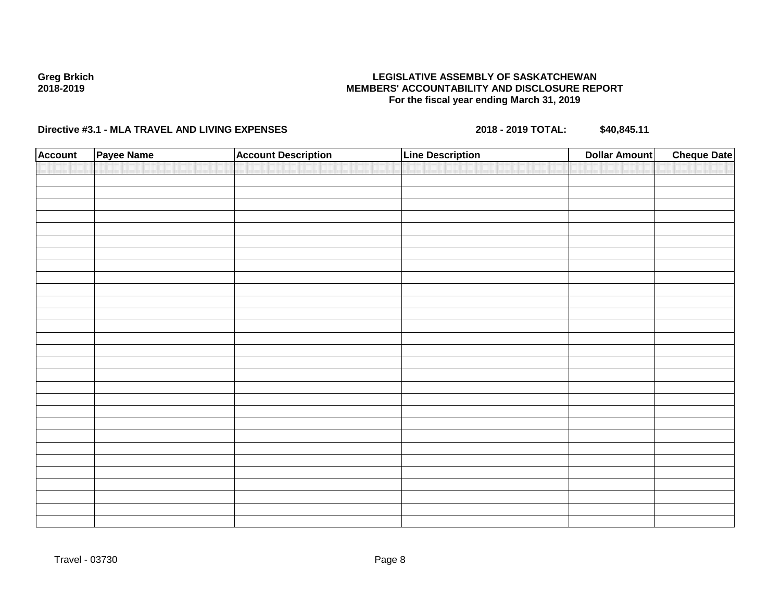### **LEGISLATIVE ASSEMBLY OF SASKATCHEWAN MEMBERS' ACCOUNTABILITY AND DISCLOSURE REPORT For the fiscal year ending March 31, 2019**

| <b>Account</b> | Payee Name | <b>Account Description</b> | <b>Line Description</b> | <b>Dollar Amount</b> | <b>Cheque Date</b> |
|----------------|------------|----------------------------|-------------------------|----------------------|--------------------|
|                |            |                            |                         |                      |                    |
|                |            |                            |                         |                      |                    |
|                |            |                            |                         |                      |                    |
|                |            |                            |                         |                      |                    |
|                |            |                            |                         |                      |                    |
|                |            |                            |                         |                      |                    |
|                |            |                            |                         |                      |                    |
|                |            |                            |                         |                      |                    |
|                |            |                            |                         |                      |                    |
|                |            |                            |                         |                      |                    |
|                |            |                            |                         |                      |                    |
|                |            |                            |                         |                      |                    |
|                |            |                            |                         |                      |                    |
|                |            |                            |                         |                      |                    |
|                |            |                            |                         |                      |                    |
|                |            |                            |                         |                      |                    |
|                |            |                            |                         |                      |                    |
|                |            |                            |                         |                      |                    |
|                |            |                            |                         |                      |                    |
|                |            |                            |                         |                      |                    |
|                |            |                            |                         |                      |                    |
|                |            |                            |                         |                      |                    |
|                |            |                            |                         |                      |                    |
|                |            |                            |                         |                      |                    |
|                |            |                            |                         |                      |                    |
|                |            |                            |                         |                      |                    |
|                |            |                            |                         |                      |                    |
|                |            |                            |                         |                      |                    |
|                |            |                            |                         |                      |                    |
|                |            |                            |                         |                      |                    |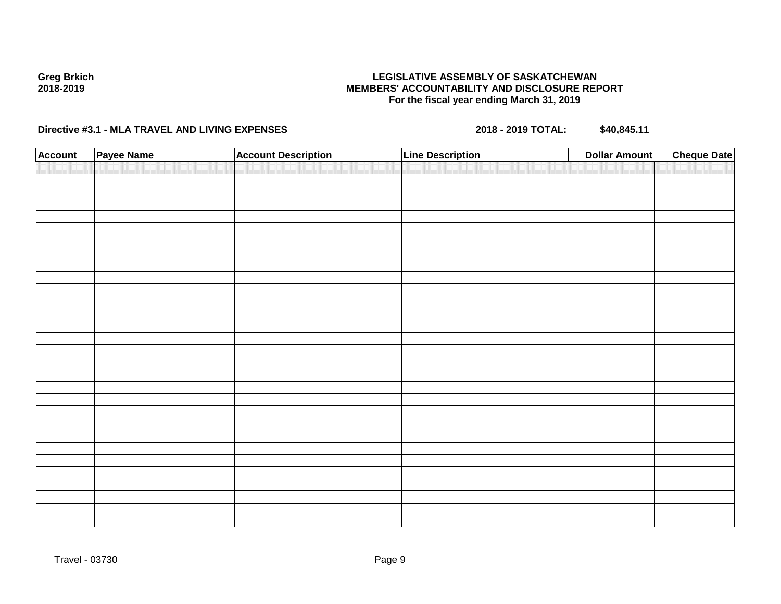### **LEGISLATIVE ASSEMBLY OF SASKATCHEWAN MEMBERS' ACCOUNTABILITY AND DISCLOSURE REPORT For the fiscal year ending March 31, 2019**

| <b>Account</b> | Payee Name | <b>Account Description</b> | <b>Line Description</b> | <b>Dollar Amount</b> | <b>Cheque Date</b> |
|----------------|------------|----------------------------|-------------------------|----------------------|--------------------|
|                |            |                            |                         |                      |                    |
|                |            |                            |                         |                      |                    |
|                |            |                            |                         |                      |                    |
|                |            |                            |                         |                      |                    |
|                |            |                            |                         |                      |                    |
|                |            |                            |                         |                      |                    |
|                |            |                            |                         |                      |                    |
|                |            |                            |                         |                      |                    |
|                |            |                            |                         |                      |                    |
|                |            |                            |                         |                      |                    |
|                |            |                            |                         |                      |                    |
|                |            |                            |                         |                      |                    |
|                |            |                            |                         |                      |                    |
|                |            |                            |                         |                      |                    |
|                |            |                            |                         |                      |                    |
|                |            |                            |                         |                      |                    |
|                |            |                            |                         |                      |                    |
|                |            |                            |                         |                      |                    |
|                |            |                            |                         |                      |                    |
|                |            |                            |                         |                      |                    |
|                |            |                            |                         |                      |                    |
|                |            |                            |                         |                      |                    |
|                |            |                            |                         |                      |                    |
|                |            |                            |                         |                      |                    |
|                |            |                            |                         |                      |                    |
|                |            |                            |                         |                      |                    |
|                |            |                            |                         |                      |                    |
|                |            |                            |                         |                      |                    |
|                |            |                            |                         |                      |                    |
|                |            |                            |                         |                      |                    |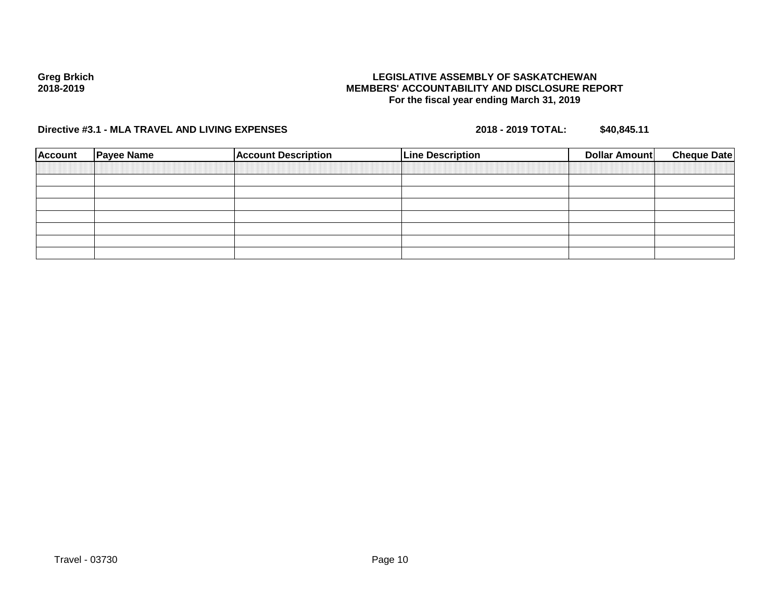### **LEGISLATIVE ASSEMBLY OF SASKATCHEWAN MEMBERS' ACCOUNTABILITY AND DISCLOSURE REPORT For the fiscal year ending March 31, 2019**

| <b>Account</b> | <b>Payee Name</b> | <b>Account Description</b> | <b>Line Description</b> | Dollar Amount | <b>Cheque Date</b> |
|----------------|-------------------|----------------------------|-------------------------|---------------|--------------------|
|                |                   |                            |                         |               |                    |
|                |                   |                            |                         |               |                    |
|                |                   |                            |                         |               |                    |
|                |                   |                            |                         |               |                    |
|                |                   |                            |                         |               |                    |
|                |                   |                            |                         |               |                    |
|                |                   |                            |                         |               |                    |
|                |                   |                            |                         |               |                    |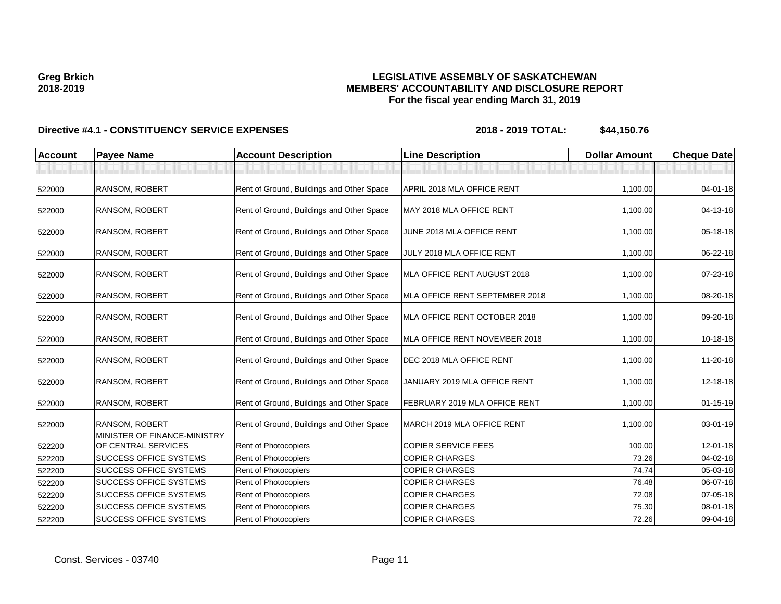### **LEGISLATIVE ASSEMBLY OF SASKATCHEWAN MEMBERS' ACCOUNTABILITY AND DISCLOSURE REPORT For the fiscal year ending March 31, 2019**

| <b>Account</b> | <b>Payee Name</b>                                   | <b>Account Description</b>                | <b>Line Description</b>        | <b>Dollar Amount</b> | <b>Cheque Date</b> |
|----------------|-----------------------------------------------------|-------------------------------------------|--------------------------------|----------------------|--------------------|
|                |                                                     |                                           |                                |                      |                    |
| 522000         | RANSOM, ROBERT                                      | Rent of Ground, Buildings and Other Space | APRIL 2018 MLA OFFICE RENT     | 1,100.00             | $04 - 01 - 18$     |
| 522000         | RANSOM, ROBERT                                      | Rent of Ground, Buildings and Other Space | MAY 2018 MLA OFFICE RENT       | 1,100.00             | 04-13-18           |
| 522000         | <b>RANSOM, ROBERT</b>                               | Rent of Ground, Buildings and Other Space | JUNE 2018 MLA OFFICE RENT      | 1,100.00             | 05-18-18           |
| 522000         | RANSOM, ROBERT                                      | Rent of Ground, Buildings and Other Space | JULY 2018 MLA OFFICE RENT      | 1,100.00             | 06-22-18           |
| 522000         | <b>RANSOM, ROBERT</b>                               | Rent of Ground, Buildings and Other Space | MLA OFFICE RENT AUGUST 2018    | 1,100.00             | 07-23-18           |
| 522000         | RANSOM, ROBERT                                      | Rent of Ground, Buildings and Other Space | MLA OFFICE RENT SEPTEMBER 2018 | 1,100.00             | 08-20-18           |
| 522000         | <b>RANSOM, ROBERT</b>                               | Rent of Ground, Buildings and Other Space | MLA OFFICE RENT OCTOBER 2018   | 1,100.00             | 09-20-18           |
| 522000         | <b>RANSOM, ROBERT</b>                               | Rent of Ground, Buildings and Other Space | MLA OFFICE RENT NOVEMBER 2018  | 1,100.00             | 10-18-18           |
| 522000         | RANSOM, ROBERT                                      | Rent of Ground, Buildings and Other Space | DEC 2018 MLA OFFICE RENT       | 1,100.00             | 11-20-18           |
| 522000         | RANSOM, ROBERT                                      | Rent of Ground, Buildings and Other Space | JANUARY 2019 MLA OFFICE RENT   | 1,100.00             | 12-18-18           |
| 522000         | RANSOM, ROBERT                                      | Rent of Ground, Buildings and Other Space | FEBRUARY 2019 MLA OFFICE RENT  | 1,100.00             | $01 - 15 - 19$     |
| 522000         | <b>RANSOM, ROBERT</b>                               | Rent of Ground, Buildings and Other Space | MARCH 2019 MLA OFFICE RENT     | 1,100.00             | 03-01-19           |
| 522200         | MINISTER OF FINANCE-MINISTRY<br>OF CENTRAL SERVICES | Rent of Photocopiers                      | <b>COPIER SERVICE FEES</b>     | 100.00               | $12 - 01 - 18$     |
| 522200         | SUCCESS OFFICE SYSTEMS                              | Rent of Photocopiers                      | <b>COPIER CHARGES</b>          | 73.26                | 04-02-18           |
| 522200         | SUCCESS OFFICE SYSTEMS                              | Rent of Photocopiers                      | <b>COPIER CHARGES</b>          | 74.74                | 05-03-18           |
| 522200         | <b>SUCCESS OFFICE SYSTEMS</b>                       | Rent of Photocopiers                      | <b>COPIER CHARGES</b>          | 76.48                | 06-07-18           |
| 522200         | <b>SUCCESS OFFICE SYSTEMS</b>                       | Rent of Photocopiers                      | <b>COPIER CHARGES</b>          | 72.08                | 07-05-18           |
| 522200         | <b>SUCCESS OFFICE SYSTEMS</b>                       | Rent of Photocopiers                      | <b>COPIER CHARGES</b>          | 75.30                | 08-01-18           |
| 522200         | <b>SUCCESS OFFICE SYSTEMS</b>                       | Rent of Photocopiers                      | <b>COPIER CHARGES</b>          | 72.26                | 09-04-18           |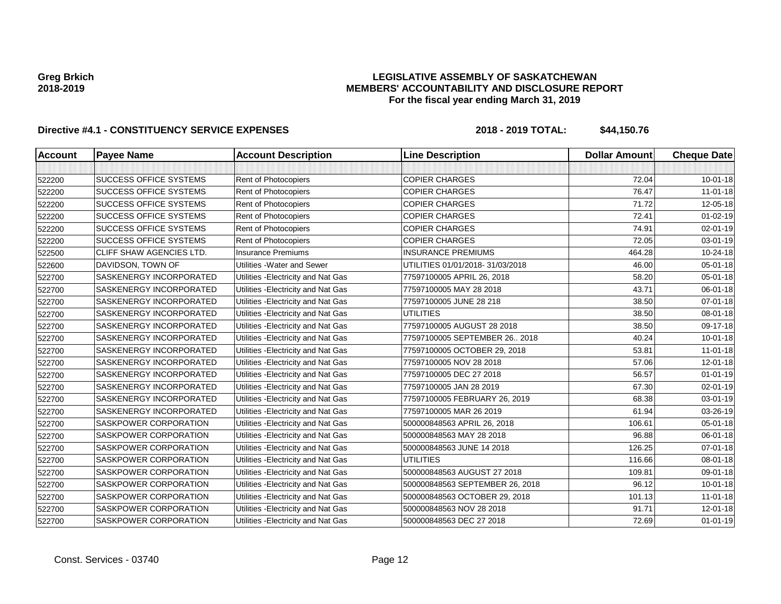### **LEGISLATIVE ASSEMBLY OF SASKATCHEWAN MEMBERS' ACCOUNTABILITY AND DISCLOSURE REPORT For the fiscal year ending March 31, 2019**

| <b>Account</b> | <b>Payee Name</b>               | <b>Account Description</b>          | <b>Line Description</b>         | <b>Dollar Amount</b> | <b>Cheque Date</b> |
|----------------|---------------------------------|-------------------------------------|---------------------------------|----------------------|--------------------|
|                |                                 |                                     |                                 |                      |                    |
| 522200         | <b>SUCCESS OFFICE SYSTEMS</b>   | Rent of Photocopiers                | <b>COPIER CHARGES</b>           | 72.04                | $10 - 01 - 18$     |
| 522200         | <b>SUCCESS OFFICE SYSTEMS</b>   | Rent of Photocopiers                | <b>COPIER CHARGES</b>           | 76.47                | $11 - 01 - 18$     |
| 522200         | <b>SUCCESS OFFICE SYSTEMS</b>   | Rent of Photocopiers                | <b>COPIER CHARGES</b>           | 71.72                | 12-05-18           |
| 522200         | <b>SUCCESS OFFICE SYSTEMS</b>   | Rent of Photocopiers                | <b>COPIER CHARGES</b>           | 72.41                | $01 - 02 - 19$     |
| 522200         | <b>SUCCESS OFFICE SYSTEMS</b>   | Rent of Photocopiers                | <b>COPIER CHARGES</b>           | 74.91                | 02-01-19           |
| 522200         | <b>SUCCESS OFFICE SYSTEMS</b>   | Rent of Photocopiers                | <b>COPIER CHARGES</b>           | 72.05                | 03-01-19           |
| 522500         | <b>CLIFF SHAW AGENCIES LTD.</b> | <b>Insurance Premiums</b>           | <b>INSURANCE PREMIUMS</b>       | 464.28               | 10-24-18           |
| 522600         | DAVIDSON, TOWN OF               | Utilities - Water and Sewer         | UTILITIES 01/01/2018-31/03/2018 | 46.00                | 05-01-18           |
| 522700         | SASKENERGY INCORPORATED         | Utilities - Electricity and Nat Gas | 77597100005 APRIL 26, 2018      | 58.20                | 05-01-18           |
| 522700         | SASKENERGY INCORPORATED         | Utilities - Electricity and Nat Gas | 77597100005 MAY 28 2018         | 43.71                | 06-01-18           |
| 522700         | SASKENERGY INCORPORATED         | Utilities - Electricity and Nat Gas | 77597100005 JUNE 28 218         | 38.50                | $07 - 01 - 18$     |
| 522700         | <b>SASKENERGY INCORPORATED</b>  | Utilities - Electricity and Nat Gas | <b>UTILITIES</b>                | 38.50                | 08-01-18           |
| 522700         | SASKENERGY INCORPORATED         | Utilities - Electricity and Nat Gas | 77597100005 AUGUST 28 2018      | 38.50                | 09-17-18           |
| 522700         | SASKENERGY INCORPORATED         | Utilities - Electricity and Nat Gas | 77597100005 SEPTEMBER 26 2018   | 40.24                | $10 - 01 - 18$     |
| 522700         | SASKENERGY INCORPORATED         | Utilities - Electricity and Nat Gas | 77597100005 OCTOBER 29, 2018    | 53.81                | $11 - 01 - 18$     |
| 522700         | SASKENERGY INCORPORATED         | Utilities - Electricity and Nat Gas | 77597100005 NOV 28 2018         | 57.06                | 12-01-18           |
| 522700         | <b>SASKENERGY INCORPORATED</b>  | Utilities - Electricity and Nat Gas | 77597100005 DEC 27 2018         | 56.57                | $01 - 01 - 19$     |
| 522700         | SASKENERGY INCORPORATED         | Utilities - Electricity and Nat Gas | 77597100005 JAN 28 2019         | 67.30                | 02-01-19           |
| 522700         | <b>SASKENERGY INCORPORATED</b>  | Utilities - Electricity and Nat Gas | 77597100005 FEBRUARY 26, 2019   | 68.38                | 03-01-19           |
| 522700         | <b>SASKENERGY INCORPORATED</b>  | Utilities - Electricity and Nat Gas | 77597100005 MAR 26 2019         | 61.94                | 03-26-19           |
| 522700         | <b>SASKPOWER CORPORATION</b>    | Utilities - Electricity and Nat Gas | 500000848563 APRIL 26, 2018     | 106.61               | 05-01-18           |
| 522700         | <b>SASKPOWER CORPORATION</b>    | Utilities - Electricity and Nat Gas | 500000848563 MAY 28 2018        | 96.88                | 06-01-18           |
| 522700         | SASKPOWER CORPORATION           | Utilities - Electricity and Nat Gas | 500000848563 JUNE 14 2018       | 126.25               | $07 - 01 - 18$     |
| 522700         | SASKPOWER CORPORATION           | Utilities - Electricity and Nat Gas | <b>UTILITIES</b>                | 116.66               | 08-01-18           |
| 522700         | <b>SASKPOWER CORPORATION</b>    | Utilities - Electricity and Nat Gas | 500000848563 AUGUST 27 2018     | 109.81               | 09-01-18           |
| 522700         | <b>SASKPOWER CORPORATION</b>    | Utilities - Electricity and Nat Gas | 500000848563 SEPTEMBER 26, 2018 | 96.12                | $10 - 01 - 18$     |
| 522700         | <b>SASKPOWER CORPORATION</b>    | Utilities - Electricity and Nat Gas | 500000848563 OCTOBER 29, 2018   | 101.13               | $11-01-18$         |
| 522700         | SASKPOWER CORPORATION           | Utilities - Electricity and Nat Gas | 500000848563 NOV 28 2018        | 91.71                | 12-01-18           |
| 522700         | <b>SASKPOWER CORPORATION</b>    | Utilities - Electricity and Nat Gas | 500000848563 DEC 27 2018        | 72.69                | $01 - 01 - 19$     |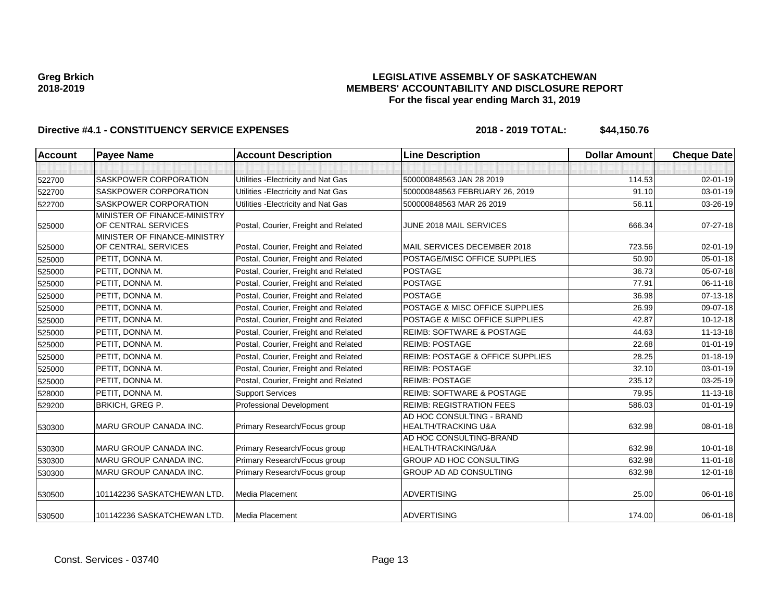### **LEGISLATIVE ASSEMBLY OF SASKATCHEWAN MEMBERS' ACCOUNTABILITY AND DISCLOSURE REPORT For the fiscal year ending March 31, 2019**

| <b>Account</b> | <b>Payee Name</b>                                   | <b>Account Description</b>           | <b>Line Description</b>                                     | <b>Dollar Amount</b> | <b>Cheque Date</b> |
|----------------|-----------------------------------------------------|--------------------------------------|-------------------------------------------------------------|----------------------|--------------------|
|                |                                                     |                                      |                                                             |                      |                    |
| 522700         | <b>SASKPOWER CORPORATION</b>                        | Utilities - Electricity and Nat Gas  | 500000848563 JAN 28 2019                                    | 114.53               | $02 - 01 - 19$     |
| 522700         | SASKPOWER CORPORATION                               | Utilities - Electricity and Nat Gas  | 500000848563 FEBRUARY 26, 2019                              | 91.10                | $03 - 01 - 19$     |
| 522700         | SASKPOWER CORPORATION                               | Utilities - Electricity and Nat Gas  | 500000848563 MAR 26 2019                                    | 56.11                | 03-26-19           |
| 525000         | MINISTER OF FINANCE-MINISTRY<br>OF CENTRAL SERVICES | Postal, Courier, Freight and Related | JUNE 2018 MAIL SERVICES                                     | 666.34               | $07 - 27 - 18$     |
| 525000         | MINISTER OF FINANCE-MINISTRY<br>OF CENTRAL SERVICES | Postal, Courier, Freight and Related | MAIL SERVICES DECEMBER 2018                                 | 723.56               | 02-01-19           |
| 525000         | PETIT, DONNA M.                                     | Postal, Courier, Freight and Related | POSTAGE/MISC OFFICE SUPPLIES                                | 50.90                | 05-01-18           |
| 525000         | PETIT, DONNA M.                                     | Postal, Courier, Freight and Related | <b>POSTAGE</b>                                              | 36.73                | 05-07-18           |
| 525000         | PETIT, DONNA M.                                     | Postal, Courier, Freight and Related | <b>POSTAGE</b>                                              | 77.91                | $06 - 11 - 18$     |
| 525000         | PETIT, DONNA M.                                     | Postal, Courier, Freight and Related | <b>POSTAGE</b>                                              | 36.98                | 07-13-18           |
| 525000         | PETIT, DONNA M.                                     | Postal, Courier, Freight and Related | POSTAGE & MISC OFFICE SUPPLIES                              | 26.99                | 09-07-18           |
| 525000         | PETIT, DONNA M.                                     | Postal, Courier, Freight and Related | POSTAGE & MISC OFFICE SUPPLIES                              | 42.87                | 10-12-18           |
| 525000         | PETIT, DONNA M.                                     | Postal, Courier, Freight and Related | <b>REIMB: SOFTWARE &amp; POSTAGE</b>                        | 44.63                | $11 - 13 - 18$     |
| 525000         | PETIT, DONNA M.                                     | Postal, Courier, Freight and Related | <b>REIMB: POSTAGE</b>                                       | 22.68                | $01 - 01 - 19$     |
| 525000         | PETIT, DONNA M.                                     | Postal, Courier, Freight and Related | <b>REIMB: POSTAGE &amp; OFFICE SUPPLIES</b>                 | 28.25                | $01 - 18 - 19$     |
| 525000         | PETIT, DONNA M.                                     | Postal, Courier, Freight and Related | <b>REIMB: POSTAGE</b>                                       | 32.10                | 03-01-19           |
| 525000         | PETIT, DONNA M.                                     | Postal, Courier, Freight and Related | <b>REIMB: POSTAGE</b>                                       | 235.12               | 03-25-19           |
| 528000         | PETIT, DONNA M.                                     | <b>Support Services</b>              | <b>REIMB: SOFTWARE &amp; POSTAGE</b>                        | 79.95                | $11 - 13 - 18$     |
| 529200         | BRKICH, GREG P.                                     | Professional Development             | <b>REIMB: REGISTRATION FEES</b>                             | 586.03               | $01 - 01 - 19$     |
| 530300         | MARU GROUP CANADA INC.                              | Primary Research/Focus group         | AD HOC CONSULTING - BRAND<br><b>HEALTH/TRACKING U&amp;A</b> | 632.98               | 08-01-18           |
| 530300         | MARU GROUP CANADA INC.                              | Primary Research/Focus group         | AD HOC CONSULTING-BRAND<br>HEALTH/TRACKING/U&A              | 632.98               | $10 - 01 - 18$     |
| 530300         | MARU GROUP CANADA INC.                              | Primary Research/Focus group         | GROUP AD HOC CONSULTING                                     | 632.98               | $11-01-18$         |
| 530300         | MARU GROUP CANADA INC.                              | Primary Research/Focus group         | <b>GROUP AD AD CONSULTING</b>                               | 632.98               | 12-01-18           |
| 530500         | 101142236 SASKATCHEWAN LTD.                         | Media Placement                      | <b>ADVERTISING</b>                                          | 25.00                | $06 - 01 - 18$     |
| 530500         | 101142236 SASKATCHEWAN LTD.                         | Media Placement                      | ADVERTISING                                                 | 174.00               | 06-01-18           |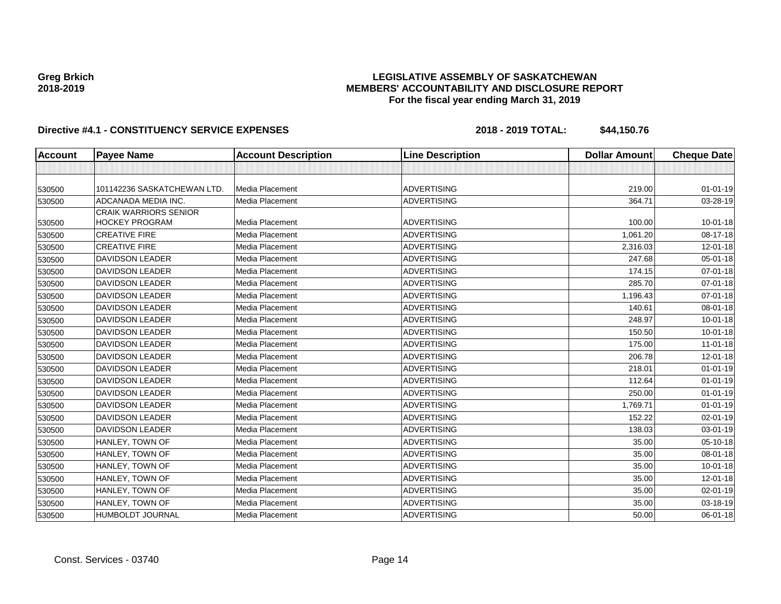### **LEGISLATIVE ASSEMBLY OF SASKATCHEWAN MEMBERS' ACCOUNTABILITY AND DISCLOSURE REPORT For the fiscal year ending March 31, 2019**

| <b>Account</b> | <b>Payee Name</b>                                     | <b>Account Description</b> | <b>Line Description</b> | <b>Dollar Amount</b> | <b>Cheque Date</b> |
|----------------|-------------------------------------------------------|----------------------------|-------------------------|----------------------|--------------------|
|                |                                                       |                            |                         |                      |                    |
| 530500         | 101142236 SASKATCHEWAN LTD.                           | Media Placement            | <b>ADVERTISING</b>      | 219.00               | $01 - 01 - 19$     |
| 530500         | ADCANADA MEDIA INC.                                   | Media Placement            | <b>ADVERTISING</b>      | 364.71               | 03-28-19           |
| 530500         | <b>CRAIK WARRIORS SENIOR</b><br><b>HOCKEY PROGRAM</b> | Media Placement            | <b>ADVERTISING</b>      | 100.00               | $10 - 01 - 18$     |
| 530500         | <b>CREATIVE FIRE</b>                                  | Media Placement            | <b>ADVERTISING</b>      | 1,061.20             | 08-17-18           |
| 530500         | <b>CREATIVE FIRE</b>                                  | Media Placement            | <b>ADVERTISING</b>      | 2,316.03             | 12-01-18           |
| 530500         | <b>DAVIDSON LEADER</b>                                | Media Placement            | <b>ADVERTISING</b>      | 247.68               | $05 - 01 - 18$     |
| 530500         | <b>DAVIDSON LEADER</b>                                | Media Placement            | <b>ADVERTISING</b>      | 174.15               | $07 - 01 - 18$     |
| 530500         | <b>DAVIDSON LEADER</b>                                | Media Placement            | <b>ADVERTISING</b>      | 285.70               | 07-01-18           |
| 530500         | <b>DAVIDSON LEADER</b>                                | Media Placement            | <b>ADVERTISING</b>      | 1,196.43             | 07-01-18           |
| 530500         | <b>DAVIDSON LEADER</b>                                | Media Placement            | <b>ADVERTISING</b>      | 140.61               | 08-01-18           |
| 530500         | <b>DAVIDSON LEADER</b>                                | Media Placement            | <b>ADVERTISING</b>      | 248.97               | $10 - 01 - 18$     |
| 530500         | <b>DAVIDSON LEADER</b>                                | Media Placement            | <b>ADVERTISING</b>      | 150.50               | $10 - 01 - 18$     |
| 530500         | <b>DAVIDSON LEADER</b>                                | Media Placement            | <b>ADVERTISING</b>      | 175.00               | $11-01-18$         |
| 530500         | <b>DAVIDSON LEADER</b>                                | Media Placement            | <b>ADVERTISING</b>      | 206.78               | $12 - 01 - 18$     |
| 530500         | <b>DAVIDSON LEADER</b>                                | Media Placement            | <b>ADVERTISING</b>      | 218.01               | $01 - 01 - 19$     |
| 530500         | <b>DAVIDSON LEADER</b>                                | Media Placement            | <b>ADVERTISING</b>      | 112.64               | $01 - 01 - 19$     |
| 530500         | <b>DAVIDSON LEADER</b>                                | Media Placement            | <b>ADVERTISING</b>      | 250.00               | $01 - 01 - 19$     |
| 530500         | <b>DAVIDSON LEADER</b>                                | Media Placement            | <b>ADVERTISING</b>      | 1,769.71             | $01 - 01 - 19$     |
| 530500         | <b>DAVIDSON LEADER</b>                                | Media Placement            | <b>ADVERTISING</b>      | 152.22               | $02 - 01 - 19$     |
| 530500         | <b>DAVIDSON LEADER</b>                                | Media Placement            | <b>ADVERTISING</b>      | 138.03               | 03-01-19           |
| 530500         | HANLEY, TOWN OF                                       | Media Placement            | <b>ADVERTISING</b>      | 35.00                | 05-10-18           |
| 530500         | HANLEY, TOWN OF                                       | Media Placement            | <b>ADVERTISING</b>      | 35.00                | 08-01-18           |
| 530500         | HANLEY, TOWN OF                                       | Media Placement            | <b>ADVERTISING</b>      | 35.00                | 10-01-18           |
| 530500         | HANLEY, TOWN OF                                       | Media Placement            | <b>ADVERTISING</b>      | 35.00                | $12 - 01 - 18$     |
| 530500         | HANLEY, TOWN OF                                       | Media Placement            | <b>ADVERTISING</b>      | 35.00                | $02 - 01 - 19$     |
| 530500         | HANLEY, TOWN OF                                       | Media Placement            | <b>ADVERTISING</b>      | 35.00                | 03-18-19           |
| 530500         | HUMBOLDT JOURNAL                                      | Media Placement            | <b>ADVERTISING</b>      | 50.00                | 06-01-18           |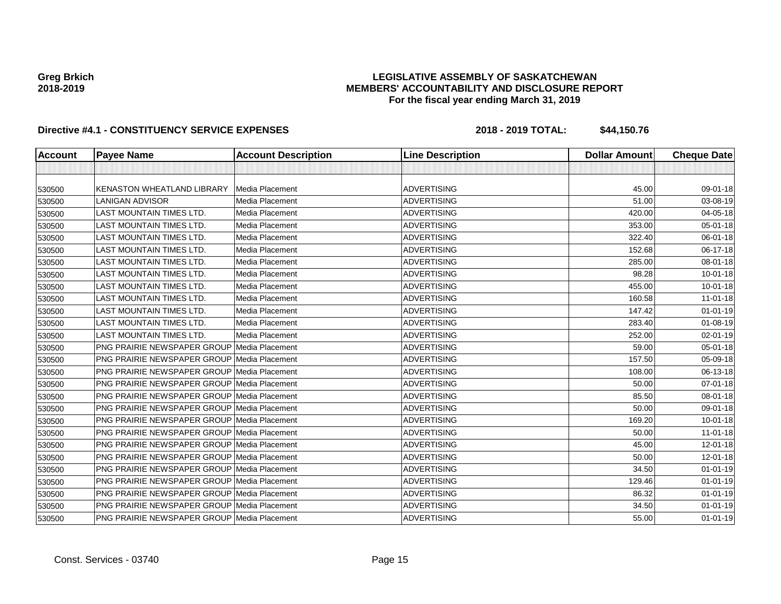### **LEGISLATIVE ASSEMBLY OF SASKATCHEWAN MEMBERS' ACCOUNTABILITY AND DISCLOSURE REPORT For the fiscal year ending March 31, 2019**

| <b>Account</b> | <b>Payee Name</b>                                  | <b>Account Description</b> | <b>Line Description</b> | <b>Dollar Amount</b> | <b>Cheque Date</b> |
|----------------|----------------------------------------------------|----------------------------|-------------------------|----------------------|--------------------|
|                |                                                    |                            |                         |                      |                    |
| 530500         | KENASTON WHEATLAND LIBRARY                         | Media Placement            | <b>ADVERTISING</b>      | 45.00                | 09-01-18           |
| 530500         | <b>LANIGAN ADVISOR</b>                             | Media Placement            | <b>ADVERTISING</b>      | 51.00                | 03-08-19           |
| 530500         | <b>LAST MOUNTAIN TIMES LTD.</b>                    | Media Placement            | <b>ADVERTISING</b>      | 420.00               | $04 - 05 - 18$     |
| 530500         | <b>LAST MOUNTAIN TIMES LTD.</b>                    | Media Placement            | <b>ADVERTISING</b>      | 353.00               | $05 - 01 - 18$     |
| 530500         | <b>LAST MOUNTAIN TIMES LTD.</b>                    | Media Placement            | <b>ADVERTISING</b>      | 322.40               | 06-01-18           |
| 530500         | <b>LAST MOUNTAIN TIMES LTD.</b>                    | Media Placement            | <b>ADVERTISING</b>      | 152.68               | 06-17-18           |
| 530500         | <b>LAST MOUNTAIN TIMES LTD.</b>                    | Media Placement            | <b>ADVERTISING</b>      | 285.00               | 08-01-18           |
| 530500         | <b>LAST MOUNTAIN TIMES LTD.</b>                    | Media Placement            | <b>ADVERTISING</b>      | 98.28                | $10 - 01 - 18$     |
| 530500         | <b>LAST MOUNTAIN TIMES LTD.</b>                    | Media Placement            | <b>ADVERTISING</b>      | 455.00               | $10 - 01 - 18$     |
| 530500         | LAST MOUNTAIN TIMES LTD.                           | Media Placement            | <b>ADVERTISING</b>      | 160.58               | $11-01-18$         |
| 530500         | <b>LAST MOUNTAIN TIMES LTD.</b>                    | Media Placement            | <b>ADVERTISING</b>      | 147.42               | $01 - 01 - 19$     |
| 530500         | <b>LAST MOUNTAIN TIMES LTD.</b>                    | Media Placement            | <b>ADVERTISING</b>      | 283.40               | $01 - 08 - 19$     |
| 530500         | <b>LAST MOUNTAIN TIMES LTD.</b>                    | Media Placement            | <b>ADVERTISING</b>      | 252.00               | 02-01-19           |
| 530500         | <b>PNG PRAIRIE NEWSPAPER GROUP Media Placement</b> |                            | <b>ADVERTISING</b>      | 59.00                | 05-01-18           |
| 530500         | <b>PNG PRAIRIE NEWSPAPER GROUP Media Placement</b> |                            | <b>ADVERTISING</b>      | 157.50               | 05-09-18           |
| 530500         | <b>PNG PRAIRIE NEWSPAPER GROUP Media Placement</b> |                            | <b>ADVERTISING</b>      | 108.00               | 06-13-18           |
| 530500         | PNG PRAIRIE NEWSPAPER GROUP Media Placement        |                            | <b>ADVERTISING</b>      | 50.00                | $07 - 01 - 18$     |
| 530500         | <b>PNG PRAIRIE NEWSPAPER GROUP Media Placement</b> |                            | <b>ADVERTISING</b>      | 85.50                | 08-01-18           |
| 530500         | <b>PNG PRAIRIE NEWSPAPER GROUP Media Placement</b> |                            | <b>ADVERTISING</b>      | 50.00                | 09-01-18           |
| 530500         | <b>PNG PRAIRIE NEWSPAPER GROUP Media Placement</b> |                            | <b>ADVERTISING</b>      | 169.20               | $10 - 01 - 18$     |
| 530500         | <b>PNG PRAIRIE NEWSPAPER GROUP Media Placement</b> |                            | <b>ADVERTISING</b>      | 50.00                | 11-01-18           |
| 530500         | PNG PRAIRIE NEWSPAPER GROUP Media Placement        |                            | <b>ADVERTISING</b>      | 45.00                | $12 - 01 - 18$     |
| 530500         | PNG PRAIRIE NEWSPAPER GROUP Media Placement        |                            | <b>ADVERTISING</b>      | 50.00                | 12-01-18           |
| 530500         | <b>PNG PRAIRIE NEWSPAPER GROUP Media Placement</b> |                            | <b>ADVERTISING</b>      | 34.50                | $01 - 01 - 19$     |
| 530500         | PNG PRAIRIE NEWSPAPER GROUP Media Placement        |                            | <b>ADVERTISING</b>      | 129.46               | $01 - 01 - 19$     |
| 530500         | <b>PNG PRAIRIE NEWSPAPER GROUP Media Placement</b> |                            | <b>ADVERTISING</b>      | 86.32                | $01 - 01 - 19$     |
| 530500         | PNG PRAIRIE NEWSPAPER GROUP Media Placement        |                            | <b>ADVERTISING</b>      | 34.50                | $01 - 01 - 19$     |
| 530500         | PNG PRAIRIE NEWSPAPER GROUP Media Placement        |                            | <b>ADVERTISING</b>      | 55.00                | $01 - 01 - 19$     |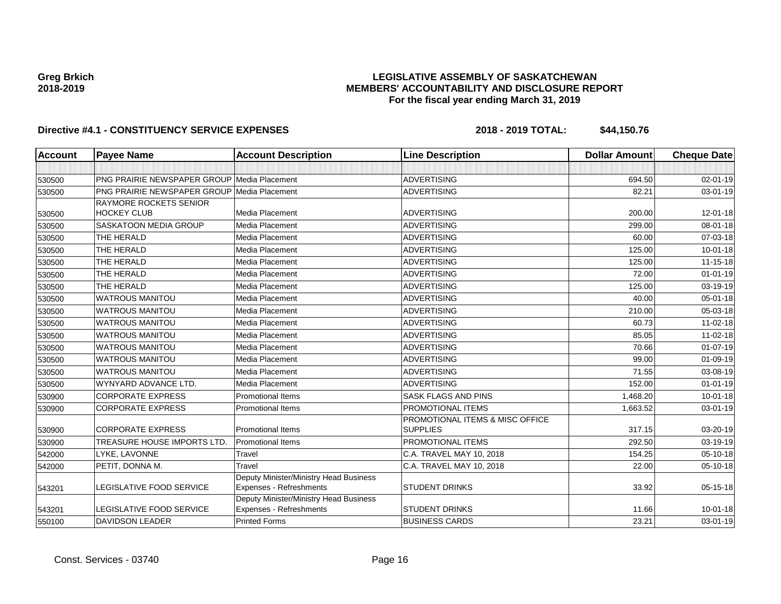### **LEGISLATIVE ASSEMBLY OF SASKATCHEWAN MEMBERS' ACCOUNTABILITY AND DISCLOSURE REPORT For the fiscal year ending March 31, 2019**

| <b>Account</b> | <b>Payee Name</b>                                  | <b>Account Description</b>                                        | <b>Line Description</b>         | <b>Dollar Amount</b> | <b>Cheque Date</b> |
|----------------|----------------------------------------------------|-------------------------------------------------------------------|---------------------------------|----------------------|--------------------|
|                |                                                    |                                                                   |                                 |                      |                    |
| 530500         | <b>PNG PRAIRIE NEWSPAPER GROUP Media Placement</b> |                                                                   | <b>ADVERTISING</b>              | 694.50               | $02 - 01 - 19$     |
| 530500         | <b>PNG PRAIRIE NEWSPAPER GROUP Media Placement</b> |                                                                   | <b>ADVERTISING</b>              | 82.21                | 03-01-19           |
|                | <b>RAYMORE ROCKETS SENIOR</b>                      |                                                                   |                                 |                      |                    |
| 530500         | <b>HOCKEY CLUB</b>                                 | Media Placement                                                   | <b>ADVERTISING</b>              | 200.00               | $12 - 01 - 18$     |
| 530500         | <b>SASKATOON MEDIA GROUP</b>                       | <b>Media Placement</b>                                            | <b>ADVERTISING</b>              | 299.00               | $08 - 01 - 18$     |
| 530500         | THE HERALD                                         | Media Placement                                                   | <b>ADVERTISING</b>              | 60.00                | 07-03-18           |
| 530500         | THE HERALD                                         | Media Placement                                                   | <b>ADVERTISING</b>              | 125.00               | $10 - 01 - 18$     |
| 530500         | THE HERALD                                         | Media Placement                                                   | <b>ADVERTISING</b>              | 125.00               | $11 - 15 - 18$     |
| 530500         | THE HERALD                                         | Media Placement                                                   | <b>ADVERTISING</b>              | 72.00                | $01 - 01 - 19$     |
| 530500         | THE HERALD                                         | <b>Media Placement</b>                                            | <b>ADVERTISING</b>              | 125.00               | 03-19-19           |
| 530500         | <b>WATROUS MANITOU</b>                             | Media Placement                                                   | <b>ADVERTISING</b>              | 40.00                | 05-01-18           |
| 530500         | <b>WATROUS MANITOU</b>                             | Media Placement                                                   | <b>ADVERTISING</b>              | 210.00               | 05-03-18           |
| 530500         | <b>WATROUS MANITOU</b>                             | Media Placement                                                   | <b>ADVERTISING</b>              | 60.73                | 11-02-18           |
| 530500         | <b>WATROUS MANITOU</b>                             | Media Placement                                                   | <b>ADVERTISING</b>              | 85.05                | 11-02-18           |
| 530500         | <b>WATROUS MANITOU</b>                             | Media Placement                                                   | <b>ADVERTISING</b>              | 70.66                | 01-07-19           |
| 530500         | <b>WATROUS MANITOU</b>                             | Media Placement                                                   | <b>ADVERTISING</b>              | 99.00                | 01-09-19           |
| 530500         | <b>WATROUS MANITOU</b>                             | Media Placement                                                   | <b>ADVERTISING</b>              | 71.55                | 03-08-19           |
| 530500         | WYNYARD ADVANCE LTD.                               | Media Placement                                                   | <b>ADVERTISING</b>              | 152.00               | $01 - 01 - 19$     |
| 530900         | <b>CORPORATE EXPRESS</b>                           | <b>Promotional Items</b>                                          | SASK FLAGS AND PINS             | 1,468.20             | $10 - 01 - 18$     |
| 530900         | <b>CORPORATE EXPRESS</b>                           | <b>Promotional Items</b>                                          | PROMOTIONAL ITEMS               | 1,663.52             | 03-01-19           |
|                |                                                    |                                                                   | PROMOTIONAL ITEMS & MISC OFFICE |                      |                    |
| 530900         | <b>CORPORATE EXPRESS</b>                           | <b>Promotional Items</b>                                          | <b>SUPPLIES</b>                 | 317.15               | 03-20-19           |
| 530900         | <b>TREASURE HOUSE IMPORTS LTD.</b>                 | <b>Promotional Items</b>                                          | <b>PROMOTIONAL ITEMS</b>        | 292.50               | 03-19-19           |
| 542000         | LYKE, LAVONNE                                      | Travel                                                            | C.A. TRAVEL MAY 10, 2018        | 154.25               | 05-10-18           |
| 542000         | PETIT, DONNA M.                                    | Travel                                                            | C.A. TRAVEL MAY 10, 2018        | 22.00                | 05-10-18           |
| 543201         | <b>LEGISLATIVE FOOD SERVICE</b>                    | Deputy Minister/Ministry Head Business<br>Expenses - Refreshments | <b>STUDENT DRINKS</b>           | 33.92                | $05 - 15 - 18$     |
|                |                                                    | Deputy Minister/Ministry Head Business                            |                                 |                      |                    |
| 543201         | <b>LEGISLATIVE FOOD SERVICE</b>                    | Expenses - Refreshments                                           | <b>STUDENT DRINKS</b>           | 11.66                | $10 - 01 - 18$     |
| 550100         | <b>DAVIDSON LEADER</b>                             | <b>Printed Forms</b>                                              | <b>BUSINESS CARDS</b>           | 23.21                | 03-01-19           |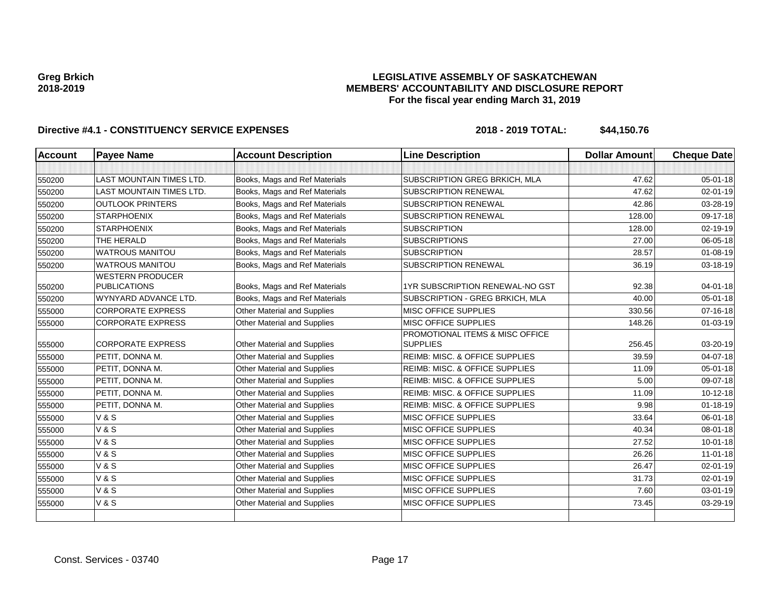### **LEGISLATIVE ASSEMBLY OF SASKATCHEWAN MEMBERS' ACCOUNTABILITY AND DISCLOSURE REPORT For the fiscal year ending March 31, 2019**

| Account | <b>Payee Name</b>                              | <b>Account Description</b>         | <b>Line Description</b>                   | <b>Dollar Amount</b> | <b>Cheque Date</b> |
|---------|------------------------------------------------|------------------------------------|-------------------------------------------|----------------------|--------------------|
|         |                                                |                                    |                                           |                      |                    |
| 550200  | <b>LAST MOUNTAIN TIMES LTD.</b>                | Books, Mags and Ref Materials      | SUBSCRIPTION GREG BRKICH, MLA             | 47.62                | $05 - 01 - 18$     |
| 550200  | <b>LAST MOUNTAIN TIMES LTD.</b>                | Books, Mags and Ref Materials      | <b>SUBSCRIPTION RENEWAL</b>               | 47.62                | 02-01-19           |
| 550200  | <b>OUTLOOK PRINTERS</b>                        | Books, Mags and Ref Materials      | <b>SUBSCRIPTION RENEWAL</b>               | 42.86                | 03-28-19           |
| 550200  | <b>STARPHOENIX</b>                             | Books, Mags and Ref Materials      | <b>SUBSCRIPTION RENEWAL</b>               | 128.00               | 09-17-18           |
| 550200  | <b>STARPHOENIX</b>                             | Books, Mags and Ref Materials      | <b>SUBSCRIPTION</b>                       | 128.00               | 02-19-19           |
| 550200  | THE HERALD                                     | Books, Mags and Ref Materials      | <b>SUBSCRIPTIONS</b>                      | 27.00                | 06-05-18           |
| 550200  | <b>WATROUS MANITOU</b>                         | Books, Mags and Ref Materials      | <b>SUBSCRIPTION</b>                       | 28.57                | $01 - 08 - 19$     |
| 550200  | <b>WATROUS MANITOU</b>                         | Books, Mags and Ref Materials      | SUBSCRIPTION RENEWAL                      | 36.19                | 03-18-19           |
| 550200  | <b>WESTERN PRODUCER</b><br><b>PUBLICATIONS</b> | Books, Mags and Ref Materials      | 1YR SUBSCRIPTION RENEWAL-NO GST           | 92.38                | $04 - 01 - 18$     |
| 550200  | WYNYARD ADVANCE LTD.                           | Books, Mags and Ref Materials      | SUBSCRIPTION - GREG BRKICH, MLA           | 40.00                | $05 - 01 - 18$     |
| 555000  | <b>CORPORATE EXPRESS</b>                       | Other Material and Supplies        | MISC OFFICE SUPPLIES                      | 330.56               | $07 - 16 - 18$     |
| 555000  | <b>CORPORATE EXPRESS</b>                       | Other Material and Supplies        | <b>MISC OFFICE SUPPLIES</b>               | 148.26               | 01-03-19           |
|         |                                                |                                    | PROMOTIONAL ITEMS & MISC OFFICE           |                      |                    |
| 555000  | <b>CORPORATE EXPRESS</b>                       | Other Material and Supplies        | <b>SUPPLIES</b>                           | 256.45               | 03-20-19           |
| 555000  | PETIT. DONNA M.                                | <b>Other Material and Supplies</b> | <b>REIMB: MISC. &amp; OFFICE SUPPLIES</b> | 39.59                | $04 - 07 - 18$     |
| 555000  | PETIT, DONNA M.                                | Other Material and Supplies        | REIMB: MISC. & OFFICE SUPPLIES            | 11.09                | $05 - 01 - 18$     |
| 555000  | PETIT, DONNA M.                                | Other Material and Supplies        | <b>REIMB: MISC. &amp; OFFICE SUPPLIES</b> | 5.00                 | 09-07-18           |
| 555000  | PETIT, DONNA M.                                | <b>Other Material and Supplies</b> | <b>REIMB: MISC. &amp; OFFICE SUPPLIES</b> | 11.09                | 10-12-18           |
| 555000  | PETIT, DONNA M.                                | Other Material and Supplies        | REIMB: MISC. & OFFICE SUPPLIES            | 9.98                 | $01 - 18 - 19$     |
| 555000  | <b>V&amp;S</b>                                 | Other Material and Supplies        | <b>MISC OFFICE SUPPLIES</b>               | 33.64                | 06-01-18           |
| 555000  | <b>V&amp;S</b>                                 | Other Material and Supplies        | <b>MISC OFFICE SUPPLIES</b>               | 40.34                | 08-01-18           |
| 555000  | <b>V&amp;S</b>                                 | Other Material and Supplies        | MISC OFFICE SUPPLIES                      | 27.52                | $10 - 01 - 18$     |
| 555000  | <b>V&amp;S</b>                                 | Other Material and Supplies        | <b>MISC OFFICE SUPPLIES</b>               | 26.26                | $11 - 01 - 18$     |
| 555000  | <b>V&amp;S</b>                                 | Other Material and Supplies        | <b>MISC OFFICE SUPPLIES</b>               | 26.47                | 02-01-19           |
| 555000  | <b>V&amp;S</b>                                 | Other Material and Supplies        | <b>MISC OFFICE SUPPLIES</b>               | 31.73                | 02-01-19           |
| 555000  | <b>V&amp;S</b>                                 | Other Material and Supplies        | MISC OFFICE SUPPLIES                      | 7.60                 | 03-01-19           |
| 555000  | <b>V&amp;S</b>                                 | <b>Other Material and Supplies</b> | <b>MISC OFFICE SUPPLIES</b>               | 73.45                | 03-29-19           |
|         |                                                |                                    |                                           |                      |                    |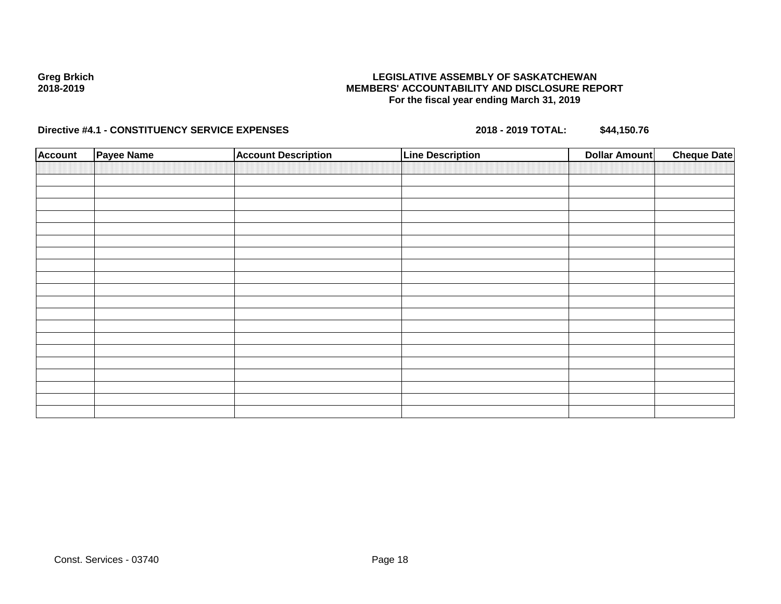### **LEGISLATIVE ASSEMBLY OF SASKATCHEWAN MEMBERS' ACCOUNTABILITY AND DISCLOSURE REPORT For the fiscal year ending March 31, 2019**

| <b>Account</b> | Payee Name | <b>Account Description</b> | <b>Line Description</b> | <b>Dollar Amount</b> | <b>Cheque Date</b> |
|----------------|------------|----------------------------|-------------------------|----------------------|--------------------|
|                |            |                            |                         |                      |                    |
|                |            |                            |                         |                      |                    |
|                |            |                            |                         |                      |                    |
|                |            |                            |                         |                      |                    |
|                |            |                            |                         |                      |                    |
|                |            |                            |                         |                      |                    |
|                |            |                            |                         |                      |                    |
|                |            |                            |                         |                      |                    |
|                |            |                            |                         |                      |                    |
|                |            |                            |                         |                      |                    |
|                |            |                            |                         |                      |                    |
|                |            |                            |                         |                      |                    |
|                |            |                            |                         |                      |                    |
|                |            |                            |                         |                      |                    |
|                |            |                            |                         |                      |                    |
|                |            |                            |                         |                      |                    |
|                |            |                            |                         |                      |                    |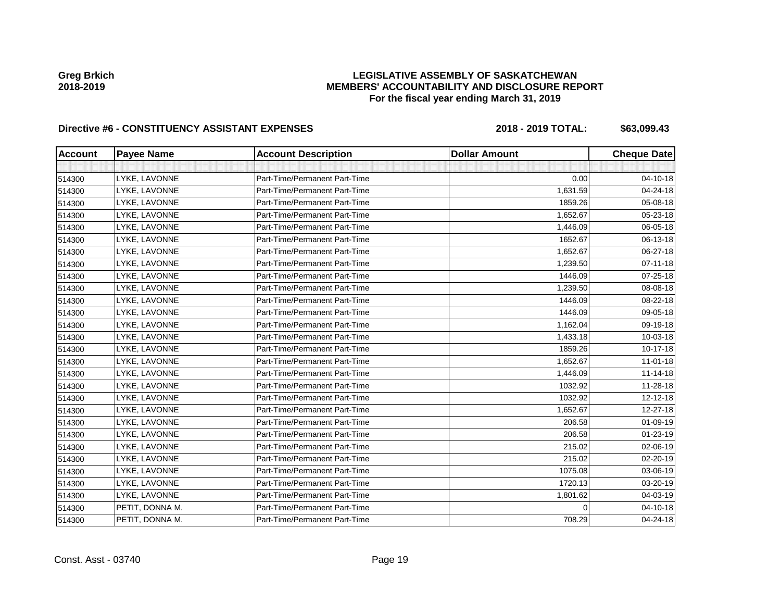### **LEGISLATIVE ASSEMBLY OF SASKATCHEWAN MEMBERS' ACCOUNTABILITY AND DISCLOSURE REPORT For the fiscal year ending March 31, 2019**

| <b>Account</b> | <b>Payee Name</b> | <b>Account Description</b>    | <b>Dollar Amount</b> | <b>Cheque Date</b> |
|----------------|-------------------|-------------------------------|----------------------|--------------------|
|                |                   |                               |                      |                    |
| 514300         | LYKE, LAVONNE     | Part-Time/Permanent Part-Time | 0.00                 | 04-10-18           |
| 514300         | LYKE, LAVONNE     | Part-Time/Permanent Part-Time | 1,631.59             | 04-24-18           |
| 514300         | LYKE, LAVONNE     | Part-Time/Permanent Part-Time | 1859.26              | 05-08-18           |
| 514300         | LYKE, LAVONNE     | Part-Time/Permanent Part-Time | 1.652.67             | 05-23-18           |
| 514300         | LYKE, LAVONNE     | Part-Time/Permanent Part-Time | 1,446.09             | 06-05-18           |
| 514300         | LYKE, LAVONNE     | Part-Time/Permanent Part-Time | 1652.67              | 06-13-18           |
| 514300         | LYKE, LAVONNE     | Part-Time/Permanent Part-Time | 1,652.67             | 06-27-18           |
| 514300         | LYKE, LAVONNE     | Part-Time/Permanent Part-Time | 1,239.50             | 07-11-18           |
| 514300         | LYKE, LAVONNE     | Part-Time/Permanent Part-Time | 1446.09              | 07-25-18           |
| 514300         | LYKE, LAVONNE     | Part-Time/Permanent Part-Time | 1,239.50             | 08-08-18           |
| 514300         | LYKE, LAVONNE     | Part-Time/Permanent Part-Time | 1446.09              | 08-22-18           |
| 514300         | LYKE, LAVONNE     | Part-Time/Permanent Part-Time | 1446.09              | 09-05-18           |
| 514300         | LYKE, LAVONNE     | Part-Time/Permanent Part-Time | 1,162.04             | 09-19-18           |
| 514300         | LYKE, LAVONNE     | Part-Time/Permanent Part-Time | 1,433.18             | 10-03-18           |
| 514300         | LYKE, LAVONNE     | Part-Time/Permanent Part-Time | 1859.26              | $10-17-18$         |
| 514300         | LYKE, LAVONNE     | Part-Time/Permanent Part-Time | 1,652.67             | $11-01-18$         |
| 514300         | LYKE, LAVONNE     | Part-Time/Permanent Part-Time | 1,446.09             | $11 - 14 - 18$     |
| 514300         | LYKE, LAVONNE     | Part-Time/Permanent Part-Time | 1032.92              | 11-28-18           |
| 514300         | LYKE, LAVONNE     | Part-Time/Permanent Part-Time | 1032.92              | 12-12-18           |
| 514300         | LYKE, LAVONNE     | Part-Time/Permanent Part-Time | 1,652.67             | 12-27-18           |
| 514300         | LYKE, LAVONNE     | Part-Time/Permanent Part-Time | 206.58               | 01-09-19           |
| 514300         | LYKE, LAVONNE     | Part-Time/Permanent Part-Time | 206.58               | 01-23-19           |
| 514300         | LYKE, LAVONNE     | Part-Time/Permanent Part-Time | 215.02               | 02-06-19           |
| 514300         | LYKE, LAVONNE     | Part-Time/Permanent Part-Time | 215.02               | 02-20-19           |
| 514300         | LYKE, LAVONNE     | Part-Time/Permanent Part-Time | 1075.08              | 03-06-19           |
| 514300         | LYKE, LAVONNE     | Part-Time/Permanent Part-Time | 1720.13              | 03-20-19           |
| 514300         | LYKE, LAVONNE     | Part-Time/Permanent Part-Time | 1,801.62             | 04-03-19           |
| 514300         | PETIT, DONNA M.   | Part-Time/Permanent Part-Time |                      | 04-10-18           |
| 514300         | PETIT, DONNA M.   | Part-Time/Permanent Part-Time | 708.29               | 04-24-18           |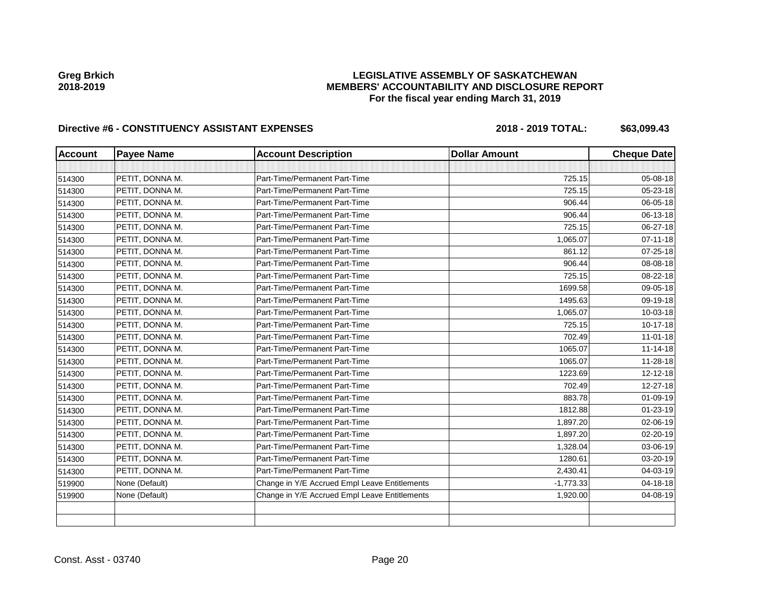### **LEGISLATIVE ASSEMBLY OF SASKATCHEWAN MEMBERS' ACCOUNTABILITY AND DISCLOSURE REPORT For the fiscal year ending March 31, 2019**

| <b>Account</b> | <b>Payee Name</b> | <b>Account Description</b>                    | <b>Dollar Amount</b> | <b>Cheque Date</b> |
|----------------|-------------------|-----------------------------------------------|----------------------|--------------------|
|                |                   |                                               |                      |                    |
| 514300         | PETIT, DONNA M.   | Part-Time/Permanent Part-Time                 | 725.15               | 05-08-18           |
| 514300         | PETIT, DONNA M.   | Part-Time/Permanent Part-Time                 | 725.15               | 05-23-18           |
| 514300         | PETIT, DONNA M.   | Part-Time/Permanent Part-Time                 | 906.44               | 06-05-18           |
| 514300         | PETIT, DONNA M.   | Part-Time/Permanent Part-Time                 | 906.44               | 06-13-18           |
| 514300         | PETIT, DONNA M.   | Part-Time/Permanent Part-Time                 | 725.15               | 06-27-18           |
| 514300         | PETIT, DONNA M.   | Part-Time/Permanent Part-Time                 | 1,065.07             | $07 - 11 - 18$     |
| 514300         | PETIT, DONNA M.   | Part-Time/Permanent Part-Time                 | 861.12               | $07 - 25 - 18$     |
| 514300         | PETIT, DONNA M.   | Part-Time/Permanent Part-Time                 | 906.44               | 08-08-18           |
| 514300         | PETIT, DONNA M.   | Part-Time/Permanent Part-Time                 | 725.15               | 08-22-18           |
| 514300         | PETIT, DONNA M.   | Part-Time/Permanent Part-Time                 | 1699.58              | 09-05-18           |
| 514300         | PETIT, DONNA M.   | Part-Time/Permanent Part-Time                 | 1495.63              | 09-19-18           |
| 514300         | PETIT, DONNA M.   | Part-Time/Permanent Part-Time                 | 1,065.07             | 10-03-18           |
| 514300         | PETIT, DONNA M.   | Part-Time/Permanent Part-Time                 | 725.15               | 10-17-18           |
| 514300         | PETIT, DONNA M.   | Part-Time/Permanent Part-Time                 | 702.49               | $11 - 01 - 18$     |
| 514300         | PETIT, DONNA M.   | Part-Time/Permanent Part-Time                 | 1065.07              | $11 - 14 - 18$     |
| 514300         | PETIT, DONNA M.   | Part-Time/Permanent Part-Time                 | 1065.07              | 11-28-18           |
| 514300         | PETIT, DONNA M.   | Part-Time/Permanent Part-Time                 | 1223.69              | 12-12-18           |
| 514300         | PETIT, DONNA M.   | Part-Time/Permanent Part-Time                 | 702.49               | 12-27-18           |
| 514300         | PETIT, DONNA M.   | Part-Time/Permanent Part-Time                 | 883.78               | 01-09-19           |
| 514300         | PETIT, DONNA M.   | Part-Time/Permanent Part-Time                 | 1812.88              | 01-23-19           |
| 514300         | PETIT, DONNA M.   | Part-Time/Permanent Part-Time                 | 1,897.20             | 02-06-19           |
| 514300         | PETIT, DONNA M.   | Part-Time/Permanent Part-Time                 | 1,897.20             | 02-20-19           |
| 514300         | PETIT, DONNA M.   | Part-Time/Permanent Part-Time                 | 1,328.04             | 03-06-19           |
| 514300         | PETIT, DONNA M.   | Part-Time/Permanent Part-Time                 | 1280.61              | 03-20-19           |
| 514300         | PETIT, DONNA M.   | Part-Time/Permanent Part-Time                 | 2,430.41             | 04-03-19           |
| 519900         | None (Default)    | Change in Y/E Accrued Empl Leave Entitlements | $-1,773.33$          | 04-18-18           |
| 519900         | None (Default)    | Change in Y/E Accrued Empl Leave Entitlements | 1,920.00             | 04-08-19           |
|                |                   |                                               |                      |                    |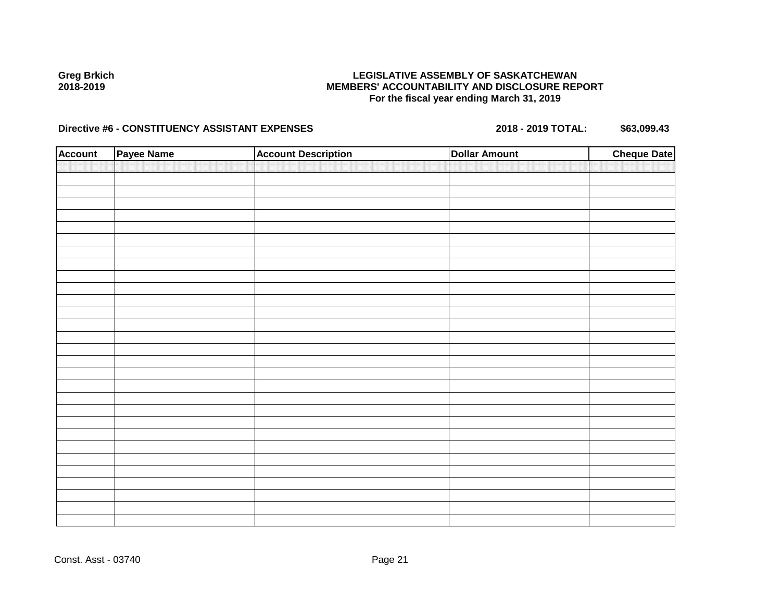### **LEGISLATIVE ASSEMBLY OF SASKATCHEWAN MEMBERS' ACCOUNTABILITY AND DISCLOSURE REPORT For the fiscal year ending March 31, 2019**

| <b>Account</b> | Payee Name | <b>Account Description</b> | <b>Dollar Amount</b> | <b>Cheque Date</b> |
|----------------|------------|----------------------------|----------------------|--------------------|
|                |            |                            |                      |                    |
|                |            |                            |                      |                    |
|                |            |                            |                      |                    |
|                |            |                            |                      |                    |
|                |            |                            |                      |                    |
|                |            |                            |                      |                    |
|                |            |                            |                      |                    |
|                |            |                            |                      |                    |
|                |            |                            |                      |                    |
|                |            |                            |                      |                    |
|                |            |                            |                      |                    |
|                |            |                            |                      |                    |
|                |            |                            |                      |                    |
|                |            |                            |                      |                    |
|                |            |                            |                      |                    |
|                |            |                            |                      |                    |
|                |            |                            |                      |                    |
|                |            |                            |                      |                    |
|                |            |                            |                      |                    |
|                |            |                            |                      |                    |
|                |            |                            |                      |                    |
|                |            |                            |                      |                    |
|                |            |                            |                      |                    |
|                |            |                            |                      |                    |
|                |            |                            |                      |                    |
|                |            |                            |                      |                    |
|                |            |                            |                      |                    |
|                |            |                            |                      |                    |
|                |            |                            |                      |                    |